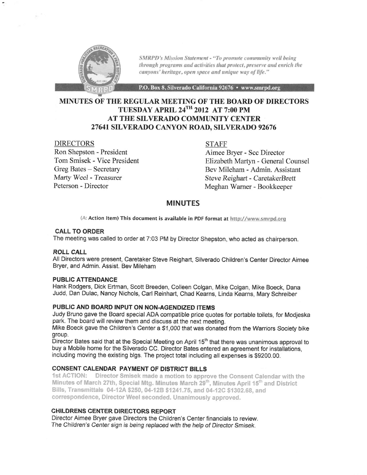

SMRPD's Mission Statement - "To promote community well being through programs and activities that protect, preserve and enrich the canyons' heritage, open space and unique way of life."

P.O. Box 8, Silverado California 92676 · www.smrpd.org

# TUESDAY APRIL 24TH 2OI2 AT 7:OO PM AT THE SILVERADO COMMUNITY CENTER 27641SILVERADO CANYON ROAD, STLVERADO 92676 MINUTES OF THE REGULAR MEETING OF THE BOARD OF DIRECTORS

#### DIRECTORS

Ron Shepston - President Tom Smisek - Vice President Greg Bates - Secretary Marty Weel - Treasurer Peterson - Director

STAFF

Aimee Bryer - Scc Director Elizabeth Martyn - General Counsel Bev Mileham - Admin. Assistant Steve Reighart - CaretakerBrett Meghan Wamer - Bookkeeper

## MINUTES

(A: Action Item) This document is available in PDF format at http://www.smrpd.org

## CALL TO ORDER

The meeting was called to order at 7:03 PM by Director Shepston, who acted as chairperson.

#### ROIL CALL

All Directors were present, Caretaker Steve Reighart, Silverado Children's Center Director Aimee Bryer, and Admin. Assist. Bev Mileham

#### PUBLIC ATTENDANCE

Hank Rodgers, Dick Ertman, Scott Breeden, Colleen Colgan, Mike Colgan, Mike Boeck, Dana Judd, Dan Dulac, Nancy Nichols, Carl Reinhart, Chad Kearns, Linda Kearns, Mary Schreiber

#### PUBLIC AND BOARD INPUT ON NON-AGENDIZED ITEMS

Judy Bruno gave the Board special ADA compatible price quotes for portable toilets, for Modjeska park. The board will review them and discuss at the next meeting.

Mike Boeck gave the Children's Center a \$1,000 that was donated from the Warriors Society bike group.

Director Bates said that at the Special Meeting on April 15<sup>th</sup> that there was unanimous approval to buy a Mobile home for the Silverado CC. Director Bates entered an agreement for installations, including moving the existing blgs. The project total including alt expenses is 99200.00.

**CONSENT CALENDAR PAYMENT OF DISTRICT BILLS**<br>1st ACTION: Director Smisek made a motion to approve the Consent Calendar with the Minutes of March 27th, Special Mtg. Minutes March 29th, Minutes April 15th and District Bills, Transmittals 04-12A \$250, 04-12B \$1241.75, and 04-12C \$1302.68, and correspondence, Director Weel seconded. Unanimously approved.

## CHILORENS CENTER DIRECTORS REPORT

Director Aimee Bryer gave Directors the Children's Center financials to review. The Children's Center sign is being replaced wrth the help of Director Smisek.